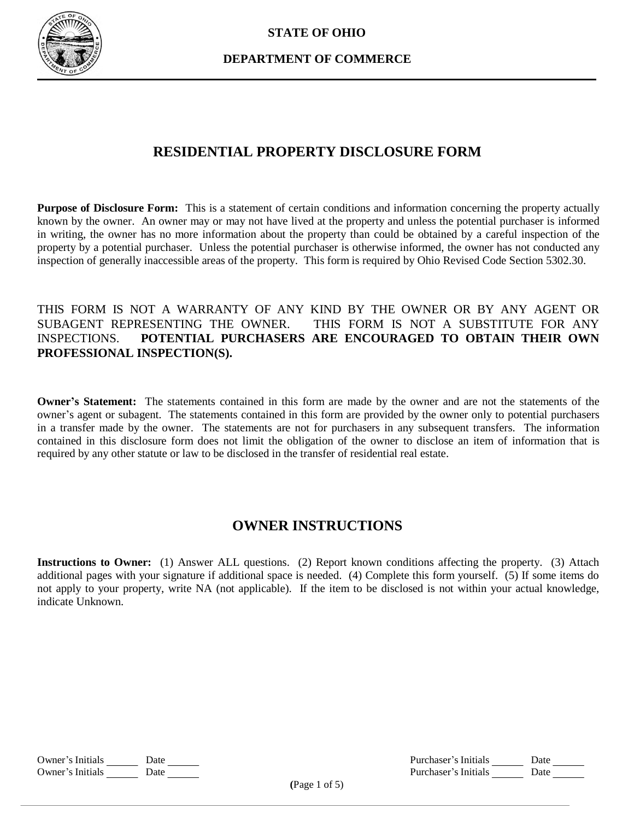

**STATE OF OHIO**

#### **DEPARTMENT OF COMMERCE**

### **RESIDENTIAL PROPERTY DISCLOSURE FORM**

**Purpose of Disclosure Form:** This is a statement of certain conditions and information concerning the property actually known by the owner. An owner may or may not have lived at the property and unless the potential purchaser is informed in writing, the owner has no more information about the property than could be obtained by a careful inspection of the property by a potential purchaser. Unless the potential purchaser is otherwise informed, the owner has not conducted any inspection of generally inaccessible areas of the property. This form is required by Ohio Revised Code Section 5302.30.

#### THIS FORM IS NOT A WARRANTY OF ANY KIND BY THE OWNER OR BY ANY AGENT OR SUBAGENT REPRESENTING THE OWNER. THIS FORM IS NOT A SUBSTITUTE FOR ANY INSPECTIONS. **POTENTIAL PURCHASERS ARE ENCOURAGED TO OBTAIN THEIR OWN PROFESSIONAL INSPECTION(S).**

**Owner's Statement:** The statements contained in this form are made by the owner and are not the statements of the owner's agent or subagent. The statements contained in this form are provided by the owner only to potential purchasers in a transfer made by the owner. The statements are not for purchasers in any subsequent transfers. The information contained in this disclosure form does not limit the obligation of the owner to disclose an item of information that is required by any other statute or law to be disclosed in the transfer of residential real estate.

### **OWNER INSTRUCTIONS**

**Instructions to Owner:** (1) Answer ALL questions. (2) Report known conditions affecting the property. (3) Attach additional pages with your signature if additional space is needed. (4) Complete this form yourself. (5) If some items do not apply to your property, write NA (not applicable). If the item to be disclosed is not within your actual knowledge, indicate Unknown.

| Owner's Initials | Date |  |
|------------------|------|--|
| Owner's Initials | Date |  |

| Purchaser's Initials | Date |
|----------------------|------|
| Purchaser's Initials | Date |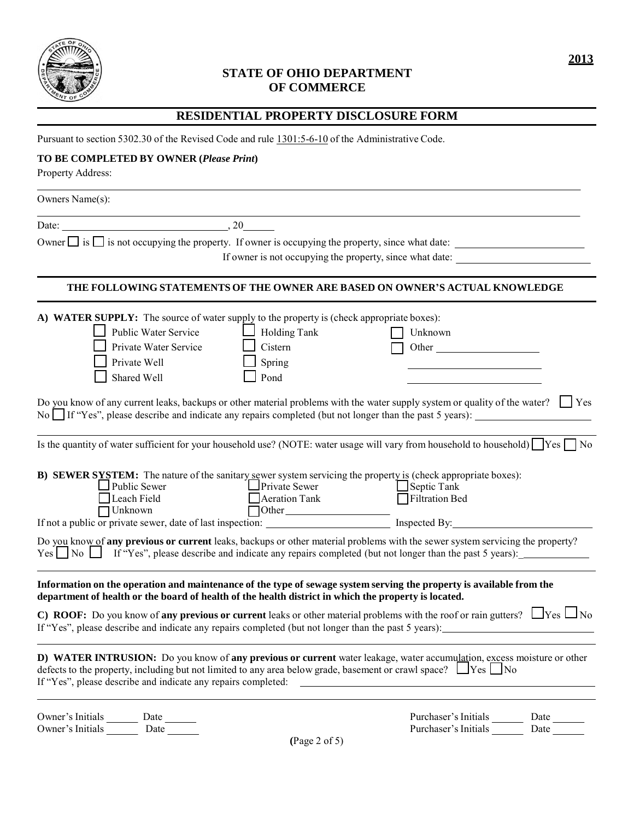

#### **STATE OF OHIO DEPARTMENT OF COMMERCE**

| RESIDENTIAL PROPERTY DISCLOSURE FORM                                                                                                                                                                                                                                                                                                                                                                                                                                                                       |  |
|------------------------------------------------------------------------------------------------------------------------------------------------------------------------------------------------------------------------------------------------------------------------------------------------------------------------------------------------------------------------------------------------------------------------------------------------------------------------------------------------------------|--|
| Pursuant to section 5302.30 of the Revised Code and rule 1301:5-6-10 of the Administrative Code.<br>TO BE COMPLETED BY OWNER (Please Print)<br>Property Address:                                                                                                                                                                                                                                                                                                                                           |  |
| Owners Name(s):                                                                                                                                                                                                                                                                                                                                                                                                                                                                                            |  |
| Date: $\frac{20}{\sqrt{25}}$                                                                                                                                                                                                                                                                                                                                                                                                                                                                               |  |
| Owner $\Box$ is $\Box$ is not occupying the property. If owner is occupying the property, since what date:<br>If owner is not occupying the property, since what date:                                                                                                                                                                                                                                                                                                                                     |  |
| THE FOLLOWING STATEMENTS OF THE OWNER ARE BASED ON OWNER'S ACTUAL KNOWLEDGE                                                                                                                                                                                                                                                                                                                                                                                                                                |  |
| A) WATER SUPPLY: The source of water supply to the property is (check appropriate boxes):<br><b>Public Water Service</b><br><b>Holding Tank</b><br>Unknown<br>Cistern<br>Private Water Service<br>Spring<br>Private Well<br>Pond<br>Shared Well<br>Do you know of any current leaks, backups or other material problems with the water supply system or quality of the water? $\Box$ Yes<br>No $\Box$ If "Yes", please describe and indicate any repairs completed (but not longer than the past 5 years): |  |
| Is the quantity of water sufficient for your household use? (NOTE: water usage will vary from household to household) $\sqrt{\frac{1}{12}}$ No                                                                                                                                                                                                                                                                                                                                                             |  |
| B) SEWER SYSTEM: The nature of the sanitary sewer system servicing the property is (check appropriate boxes):<br>$\Box$ Private Sewer<br>Public Sewer<br>Septic Tank<br>Filtration Bed<br>Leach Field<br><b>Aeration Tank</b><br>If not a public or private sewer, date of last inspection: Inspected By:<br>Do you know of any previous or current leaks, backups or other material problems with the sewer system servicing the property?                                                                |  |
| $Yes \tNo \tNí \tNis$ if "Yes", please describe and indicate any repairs completed (but not longer than the past 5 years):<br>Information on the operation and maintenance of the type of sewage system serving the property is available from the                                                                                                                                                                                                                                                         |  |
| department of health or the board of health of the health district in which the property is located.                                                                                                                                                                                                                                                                                                                                                                                                       |  |
| C) ROOF: Do you know of any previous or current leaks or other material problems with the roof or rain gutters? $\Box$ Yes $\Box$ No<br>If "Yes", please describe and indicate any repairs completed (but not longer than the past 5 years):                                                                                                                                                                                                                                                               |  |
| D) WATER INTRUSION: Do you know of any previous or current water leakage, water accumulation, excess moisture or other<br>defects to the property, including but not limited to any area below grade, basement or crawl space? $\Box$ Yes $\Box$ No<br>If "Yes", please describe and indicate any repairs completed:                                                                                                                                                                                       |  |

| Purchaser's Initials | Date |
|----------------------|------|
| Purchaser's Initials | Date |

**2013**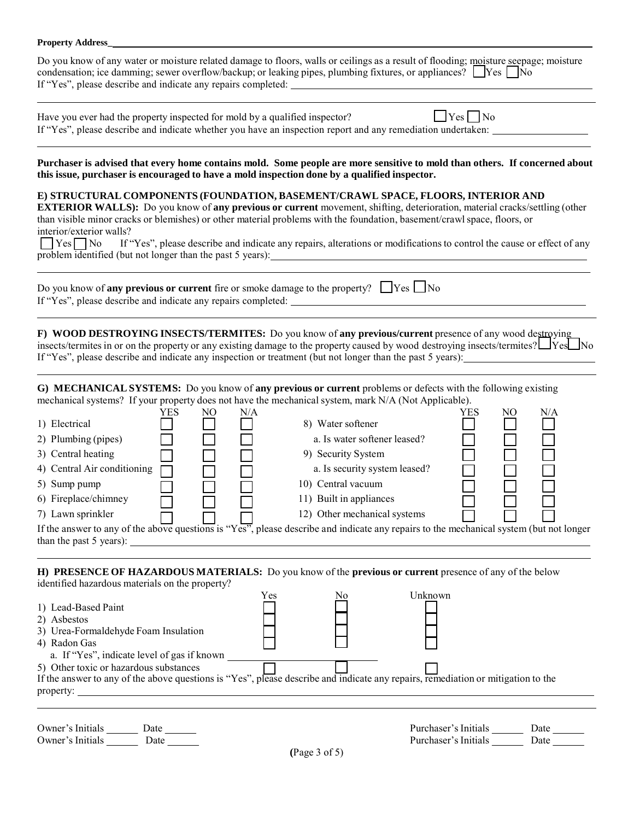| <b>Property Address</b>                                                                                                                                                                                                                                                                                                                                                                                                                                                                                                                                                                                                                                                                                                                                                                |
|----------------------------------------------------------------------------------------------------------------------------------------------------------------------------------------------------------------------------------------------------------------------------------------------------------------------------------------------------------------------------------------------------------------------------------------------------------------------------------------------------------------------------------------------------------------------------------------------------------------------------------------------------------------------------------------------------------------------------------------------------------------------------------------|
| Do you know of any water or moisture related damage to floors, walls or ceilings as a result of flooding; moisture seepage; moisture<br>condensation; ice damming; sewer overflow/backup; or leaking pipes, plumbing fixtures, or appliances? See Fig.<br>If "Yes", please describe and indicate any repairs completed:                                                                                                                                                                                                                                                                                                                                                                                                                                                                |
| $Yes$ No<br>Have you ever had the property inspected for mold by a qualified inspector?<br>If "Yes", please describe and indicate whether you have an inspection report and any remediation undertaken:                                                                                                                                                                                                                                                                                                                                                                                                                                                                                                                                                                                |
| Purchaser is advised that every home contains mold. Some people are more sensitive to mold than others. If concerned about<br>this issue, purchaser is encouraged to have a mold inspection done by a qualified inspector.                                                                                                                                                                                                                                                                                                                                                                                                                                                                                                                                                             |
| E) STRUCTURAL COMPONENTS (FOUNDATION, BASEMENT/CRAWL SPACE, FLOORS, INTERIOR AND<br><b>EXTERIOR WALLS</b> ): Do you know of any previous or current movement, shifting, deterioration, material cracks/settling (other<br>than visible minor cracks or blemishes) or other material problems with the foundation, basement/crawl space, floors, or<br>interior/exterior walls?<br>$\Box$ Yes $\Box$ No<br>If "Yes", please describe and indicate any repairs, alterations or modifications to control the cause or effect of any                                                                                                                                                                                                                                                       |
| Do you know of <b>any previous or current</b> fire or smoke damage to the property? $\Box$ Yes $\Box$ No<br>If "Yes", please describe and indicate any repairs completed:                                                                                                                                                                                                                                                                                                                                                                                                                                                                                                                                                                                                              |
| F) WOOD DESTROYING INSECTS/TERMITES: Do you know of any previous/current presence of any wood destroying<br>insects/termites in or on the property or any existing damage to the property caused by wood destroying insects/termites? Set No<br>If "Yes", please describe and indicate any inspection or treatment (but not longer than the past 5 years):                                                                                                                                                                                                                                                                                                                                                                                                                             |
| G) MECHANICAL SYSTEMS: Do you know of any previous or current problems or defects with the following existing<br>mechanical systems? If your property does not have the mechanical system, mark N/A (Not Applicable).<br>YES<br><b>YES</b><br>NO<br>N/A<br>NO.<br>N/A<br>8) Water softener<br>1) Electrical<br>a. Is water softener leased?<br>2) Plumbing (pipes)<br>3) Central heating<br>9) Security System<br>4) Central Air conditioning<br>a. Is security system leased?<br>10) Central vacuum<br>5) Sump pump<br>6) Fireplace/chimney<br>11) Built in appliances<br>12) Other mechanical systems<br>7) Lawn sprinkler<br>If the answer to any of the above questions is " $Ye\overline{s}$ ", please describe and indicate any repairs to the mechanical system (but not longer |
| H) PRESENCE OF HAZARDOUS MATERIALS: Do you know of the previous or current presence of any of the below<br>identified hazardous materials on the property?<br>Unknown<br><b>Yes</b><br>1) Lead-Based Paint<br>2) Asbestos<br>3) Urea-Formaldehyde Foam Insulation<br>4) Radon Gas<br>a. If "Yes", indicate level of gas if known<br>5) Other toxic or hazardous substances<br>If the answer to any of the above questions is "Yes", please describe and indicate any repairs, remediation or mitigation to the<br>property: $\overline{\phantom{0}}$<br><u> 1989 - Johann Barn, amerikansk politiker (d. 1989)</u>                                                                                                                                                                     |

| Owner′s)<br>. Initials | Jate |                                                 | Purchaser's<br>Initials | Jate |
|------------------------|------|-------------------------------------------------|-------------------------|------|
| ()wner's<br>-Initials  | Jate |                                                 | Purchaser's Initials    | )ate |
|                        |      | $(D_{\text{max}} \cap \mathcal{L} \mathcal{L})$ |                         |      |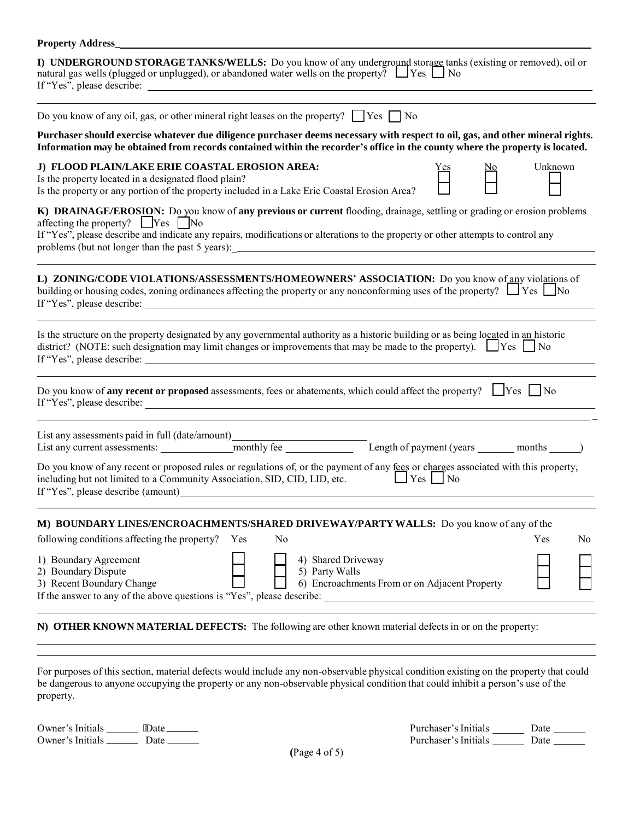| <b>Property Address_</b>                                                                                                                                                                                                                                                                                     |
|--------------------------------------------------------------------------------------------------------------------------------------------------------------------------------------------------------------------------------------------------------------------------------------------------------------|
| I) UNDERGROUND STORAGE TANKS/WELLS: Do you know of any underground storage tanks (existing or removed), oil or<br>natural gas wells (plugged or unplugged), or abandoned water wells on the property? $\Box$ Yes $\Box$ No                                                                                   |
| Do you know of any oil, gas, or other mineral right leases on the property? $\Box$ Yes $\Box$ No                                                                                                                                                                                                             |
| Purchaser should exercise whatever due diligence purchaser deems necessary with respect to oil, gas, and other mineral rights.<br>Information may be obtained from records contained within the recorder's office in the county where the property is located.                                               |
| J) FLOOD PLAIN/LAKE ERIE COASTAL EROSION AREA:<br>Unknown<br>Is the property located in a designated flood plain?<br>Is the property or any portion of the property included in a Lake Erie Coastal Erosion Area?                                                                                            |
| K) DRAINAGE/EROSION: Do you know of any previous or current flooding, drainage, settling or grading or erosion problems<br>affecting the property? $\Box$ Yes $\neg$ No<br>If "Yes", please describe and indicate any repairs, modifications or alterations to the property or other attempts to control any |
| L) ZONING/CODE VIOLATIONS/ASSESSMENTS/HOMEOWNERS' ASSOCIATION: Do you know of any violations of<br>building or housing codes, zoning ordinances affecting the property or any nonconforming uses of the property? $\Box$ Yes $\Box$ No                                                                       |
| Is the structure on the property designated by any governmental authority as a historic building or as being located in an historic<br>district? (NOTE: such designation may limit changes or improvements that may be made to the property). $\Box$ Yes $\Box$ No                                           |
| Do you know of <b>any recent or proposed</b> assessments, fees or abatements, which could affect the property? <b>Figure</b> No                                                                                                                                                                              |
|                                                                                                                                                                                                                                                                                                              |
| Do you know of any recent or proposed rules or regulations of, or the payment of any fees or charges associated with this property,<br>including but not limited to a Community Association, SID, CID, LID, etc.<br>Yes No<br>If "Yes", please describe (amount)_                                            |
| M) BOUNDARY LINES/ENCROACHMENTS/SHARED DRIVEWAY/PARTY WALLS: Do you know of any of the                                                                                                                                                                                                                       |
| following conditions affecting the property?<br>N <sub>0</sub><br>Yes<br>Yes<br>N <sub>0</sub>                                                                                                                                                                                                               |
| 1) Boundary Agreement<br>4) Shared Driveway<br>5) Party Walls<br>2) Boundary Dispute<br>3) Recent Boundary Change<br>6) Encroachments From or on Adjacent Property<br>If the answer to any of the above questions is "Yes", please describe: _________                                                       |
| N) OTHER KNOWN MATERIAL DEFECTS: The following are other known material defects in or on the property:                                                                                                                                                                                                       |

For purposes of this section, material defects would include any non-observable physical condition existing on the property that could be dangerous to anyone occupying the property or any non-observable physical condition that could inhibit a person's use of the property.

Owner's Initials Owner's Initials Date Date

| Purchaser's Initials | Date |
|----------------------|------|
| Purchaser's Initials | Date |